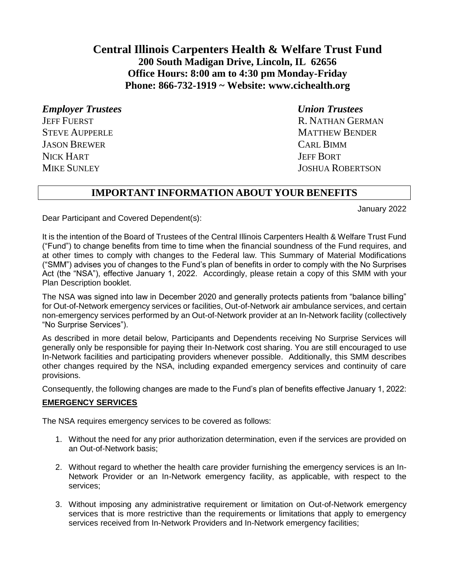# **Central Illinois Carpenters Health & Welfare Trust Fund 200 South Madigan Drive, Lincoln, IL 62656 Office Hours: 8:00 am to 4:30 pm Monday-Friday Phone: 866-732-1919 ~ Website: [www.cichealth.org](http://www.cichealth.org/)**

*Employer Trustees Union Trustees* **JASON BREWER** CARL BIMM NICK HART **JEFF BORT** 

JEFF FUERST R. NATHAN GERMAN STEVE AUPPERLE **MATTHEW BENDER** MIKE SUNLEY JOSHUA ROBERTSON

## **IMPORTANT INFORMATION ABOUT YOUR BENEFITS**

January 2022

Dear Participant and Covered Dependent(s):

It is the intention of the Board of Trustees of the Central Illinois Carpenters Health & Welfare Trust Fund ("Fund") to change benefits from time to time when the financial soundness of the Fund requires, and at other times to comply with changes to the Federal law. This Summary of Material Modifications ("SMM") advises you of changes to the Fund's plan of benefits in order to comply with the No Surprises Act (the "NSA"), effective January 1, 2022. Accordingly, please retain a copy of this SMM with your Plan Description booklet.

The NSA was signed into law in December 2020 and generally protects patients from "balance billing" for Out-of-Network emergency services or facilities, Out-of-Network air ambulance services, and certain non-emergency services performed by an Out-of-Network provider at an In-Network facility (collectively "No Surprise Services").

As described in more detail below, Participants and Dependents receiving No Surprise Services will generally only be responsible for paying their In-Network cost sharing. You are still encouraged to use In-Network facilities and participating providers whenever possible. Additionally, this SMM describes other changes required by the NSA, including expanded emergency services and continuity of care provisions.

Consequently, the following changes are made to the Fund's plan of benefits effective January 1, 2022:

### **EMERGENCY SERVICES**

The NSA requires emergency services to be covered as follows:

- 1. Without the need for any prior authorization determination, even if the services are provided on an Out-of-Network basis;
- 2. Without regard to whether the health care provider furnishing the emergency services is an In-Network Provider or an In-Network emergency facility, as applicable, with respect to the services;
- 3. Without imposing any administrative requirement or limitation on Out-of-Network emergency services that is more restrictive than the requirements or limitations that apply to emergency services received from In-Network Providers and In-Network emergency facilities;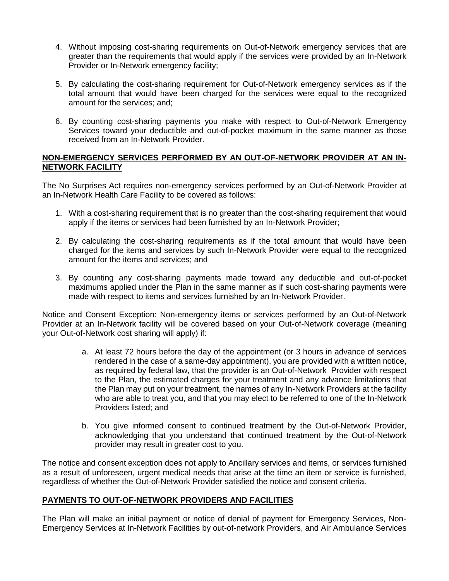- 4. Without imposing cost-sharing requirements on Out-of-Network emergency services that are greater than the requirements that would apply if the services were provided by an In-Network Provider or In-Network emergency facility;
- 5. By calculating the cost-sharing requirement for Out-of-Network emergency services as if the total amount that would have been charged for the services were equal to the recognized amount for the services; and;
- 6. By counting cost-sharing payments you make with respect to Out-of-Network Emergency Services toward your deductible and out-of-pocket maximum in the same manner as those received from an In-Network Provider.

#### **NON-EMERGENCY SERVICES PERFORMED BY AN OUT-OF-NETWORK PROVIDER AT AN IN-NETWORK FACILITY**

The No Surprises Act requires non-emergency services performed by an Out-of-Network Provider at an In-Network Health Care Facility to be covered as follows:

- 1. With a cost-sharing requirement that is no greater than the cost-sharing requirement that would apply if the items or services had been furnished by an In-Network Provider;
- 2. By calculating the cost-sharing requirements as if the total amount that would have been charged for the items and services by such In-Network Provider were equal to the recognized amount for the items and services; and
- 3. By counting any cost-sharing payments made toward any deductible and out-of-pocket maximums applied under the Plan in the same manner as if such cost-sharing payments were made with respect to items and services furnished by an In-Network Provider.

Notice and Consent Exception: Non-emergency items or services performed by an Out-of-Network Provider at an In-Network facility will be covered based on your Out-of-Network coverage (meaning your Out-of-Network cost sharing will apply) if:

- a. At least 72 hours before the day of the appointment (or 3 hours in advance of services rendered in the case of a same-day appointment), you are provided with a written notice, as required by federal law, that the provider is an Out-of-Network Provider with respect to the Plan, the estimated charges for your treatment and any advance limitations that the Plan may put on your treatment, the names of any In-Network Providers at the facility who are able to treat you, and that you may elect to be referred to one of the In-Network Providers listed; and
- b. You give informed consent to continued treatment by the Out-of-Network Provider, acknowledging that you understand that continued treatment by the Out-of-Network provider may result in greater cost to you.

The notice and consent exception does not apply to Ancillary services and items, or services furnished as a result of unforeseen, urgent medical needs that arise at the time an item or service is furnished, regardless of whether the Out-of-Network Provider satisfied the notice and consent criteria.

### **PAYMENTS TO OUT-OF-NETWORK PROVIDERS AND FACILITIES**

The Plan will make an initial payment or notice of denial of payment for Emergency Services, Non-Emergency Services at In-Network Facilities by out-of-network Providers, and Air Ambulance Services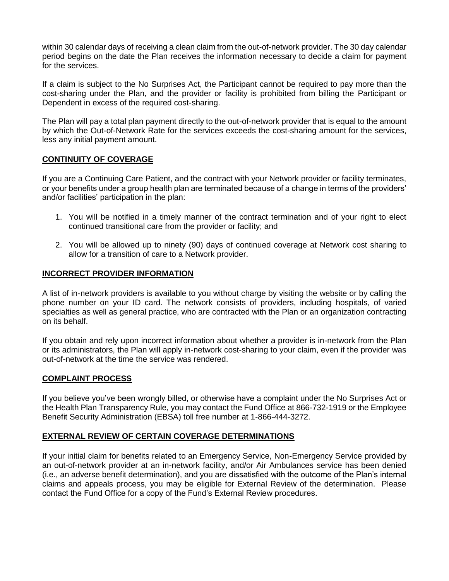within 30 calendar days of receiving a clean claim from the out-of-network provider. The 30 day calendar period begins on the date the Plan receives the information necessary to decide a claim for payment for the services.

If a claim is subject to the No Surprises Act, the Participant cannot be required to pay more than the cost-sharing under the Plan, and the provider or facility is prohibited from billing the Participant or Dependent in excess of the required cost-sharing.

The Plan will pay a total plan payment directly to the out-of-network provider that is equal to the amount by which the Out-of-Network Rate for the services exceeds the cost-sharing amount for the services, less any initial payment amount.

### **CONTINUITY OF COVERAGE**

If you are a Continuing Care Patient, and the contract with your Network provider or facility terminates, or your benefits under a group health plan are terminated because of a change in terms of the providers' and/or facilities' participation in the plan:

- 1. You will be notified in a timely manner of the contract termination and of your right to elect continued transitional care from the provider or facility; and
- 2. You will be allowed up to ninety (90) days of continued coverage at Network cost sharing to allow for a transition of care to a Network provider.

### **INCORRECT PROVIDER INFORMATION**

A list of in-network providers is available to you without charge by visiting the website or by calling the phone number on your ID card. The network consists of providers, including hospitals, of varied specialties as well as general practice, who are contracted with the Plan or an organization contracting on its behalf.

If you obtain and rely upon incorrect information about whether a provider is in-network from the Plan or its administrators, the Plan will apply in-network cost-sharing to your claim, even if the provider was out-of-network at the time the service was rendered.

### **COMPLAINT PROCESS**

If you believe you've been wrongly billed, or otherwise have a complaint under the No Surprises Act or the Health Plan Transparency Rule, you may contact the Fund Office at 866-732-1919 or the Employee Benefit Security Administration (EBSA) toll free number at 1-866-444-3272.

#### **EXTERNAL REVIEW OF CERTAIN COVERAGE DETERMINATIONS**

If your initial claim for benefits related to an Emergency Service, Non-Emergency Service provided by an out-of-network provider at an in-network facility, and/or Air Ambulances service has been denied (i.e., an adverse benefit determination), and you are dissatisfied with the outcome of the Plan's internal claims and appeals process, you may be eligible for External Review of the determination. Please contact the Fund Office for a copy of the Fund's External Review procedures.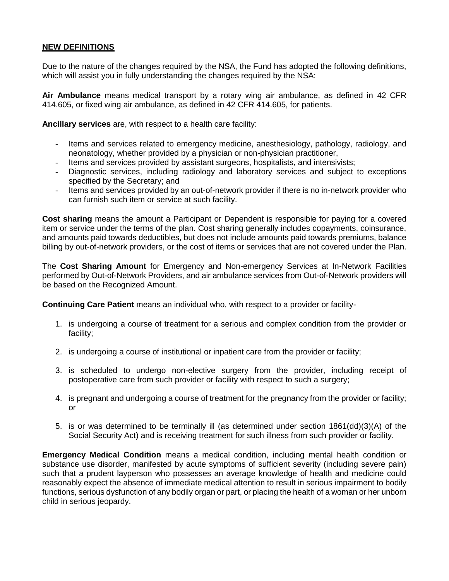### **NEW DEFINITIONS**

Due to the nature of the changes required by the NSA, the Fund has adopted the following definitions, which will assist you in fully understanding the changes required by the NSA:

**Air Ambulance** means medical transport by a rotary wing air ambulance, as defined in 42 CFR 414.605, or fixed wing air ambulance, as defined in 42 CFR 414.605, for patients.

**Ancillary services** are, with respect to a health care facility:

- Items and services related to emergency medicine, anesthesiology, pathology, radiology, and neonatology, whether provided by a physician or non-physician practitioner,
- Items and services provided by assistant surgeons, hospitalists, and intensivists;
- Diagnostic services, including radiology and laboratory services and subject to exceptions specified by the Secretary; and
- Items and services provided by an out-of-network provider if there is no in-network provider who can furnish such item or service at such facility.

**Cost sharing** means the amount a Participant or Dependent is responsible for paying for a covered item or service under the terms of the plan. Cost sharing generally includes copayments, coinsurance, and amounts paid towards deductibles, but does not include amounts paid towards premiums, balance billing by out-of-network providers, or the cost of items or services that are not covered under the Plan.

The **Cost Sharing Amount** for Emergency and Non-emergency Services at In-Network Facilities performed by Out-of-Network Providers, and air ambulance services from Out-of-Network providers will be based on the Recognized Amount.

**Continuing Care Patient** means an individual who, with respect to a provider or facility-

- 1. is undergoing a course of treatment for a serious and complex condition from the provider or facility;
- 2. is undergoing a course of institutional or inpatient care from the provider or facility;
- 3. is scheduled to undergo non-elective surgery from the provider, including receipt of postoperative care from such provider or facility with respect to such a surgery;
- 4. is pregnant and undergoing a course of treatment for the pregnancy from the provider or facility; or
- 5. is or was determined to be terminally ill (as determined under section 1861(dd)(3)(A) of the Social Security Act) and is receiving treatment for such illness from such provider or facility.

**Emergency Medical Condition** means a medical condition, including mental health condition or substance use disorder, manifested by acute symptoms of sufficient severity (including severe pain) such that a prudent layperson who possesses an average knowledge of health and medicine could reasonably expect the absence of immediate medical attention to result in serious impairment to bodily functions, serious dysfunction of any bodily organ or part, or placing the health of a woman or her unborn child in serious jeopardy.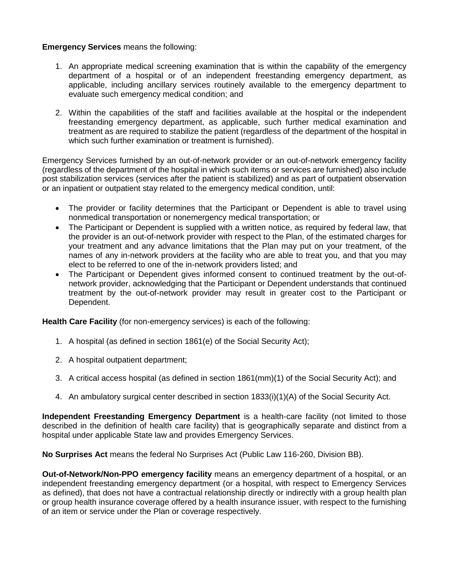### **Emergency Services** means the following:

- 1. An appropriate medical screening examination that is within the capability of the emergency department of a hospital or of an independent freestanding emergency department, as applicable, including ancillary services routinely available to the emergency department to evaluate such emergency medical condition; and
- 2. Within the capabilities of the staff and facilities available at the hospital or the independent freestanding emergency department, as applicable, such further medical examination and treatment as are required to stabilize the patient (regardless of the department of the hospital in which such further examination or treatment is furnished).

Emergency Services furnished by an out-of-network provider or an out-of-network emergency facility (regardless of the department of the hospital in which such items or services are furnished) also include post stabilization services (services after the patient is stabilized) and as part of outpatient observation or an inpatient or outpatient stay related to the emergency medical condition, until:

- The provider or facility determines that the Participant or Dependent is able to travel using nonmedical transportation or nonemergency medical transportation; or
- The Participant or Dependent is supplied with a written notice, as required by federal law, that the provider is an out-of-network provider with respect to the Plan, of the estimated charges for your treatment and any advance limitations that the Plan may put on your treatment, of the names of any in-network providers at the facility who are able to treat you, and that you may elect to be referred to one of the in-network providers listed; and
- The Participant or Dependent gives informed consent to continued treatment by the out-ofnetwork provider, acknowledging that the Participant or Dependent understands that continued treatment by the out-of-network provider may result in greater cost to the Participant or Dependent.

**Health Care Facility** (for non-emergency services) is each of the following:

- 1. A hospital (as defined in section 1861(e) of the Social Security Act);
- 2. A hospital outpatient department;
- 3. A critical access hospital (as defined in section 1861(mm)(1) of the Social Security Act); and
- 4. An ambulatory surgical center described in section 1833(i)(1)(A) of the Social Security Act.

**Independent Freestanding Emergency Department** is a health-care facility (not limited to those described in the definition of health care facility) that is geographically separate and distinct from a hospital under applicable State law and provides Emergency Services.

**No Surprises Act** means the federal No Surprises Act (Public Law 116-260, Division BB).

**Out-of-Network/Non-PPO emergency facility** means an emergency department of a hospital, or an independent freestanding emergency department (or a hospital, with respect to Emergency Services as defined), that does not have a contractual relationship directly or indirectly with a group health plan or group health insurance coverage offered by a health insurance issuer, with respect to the furnishing of an item or service under the Plan or coverage respectively.